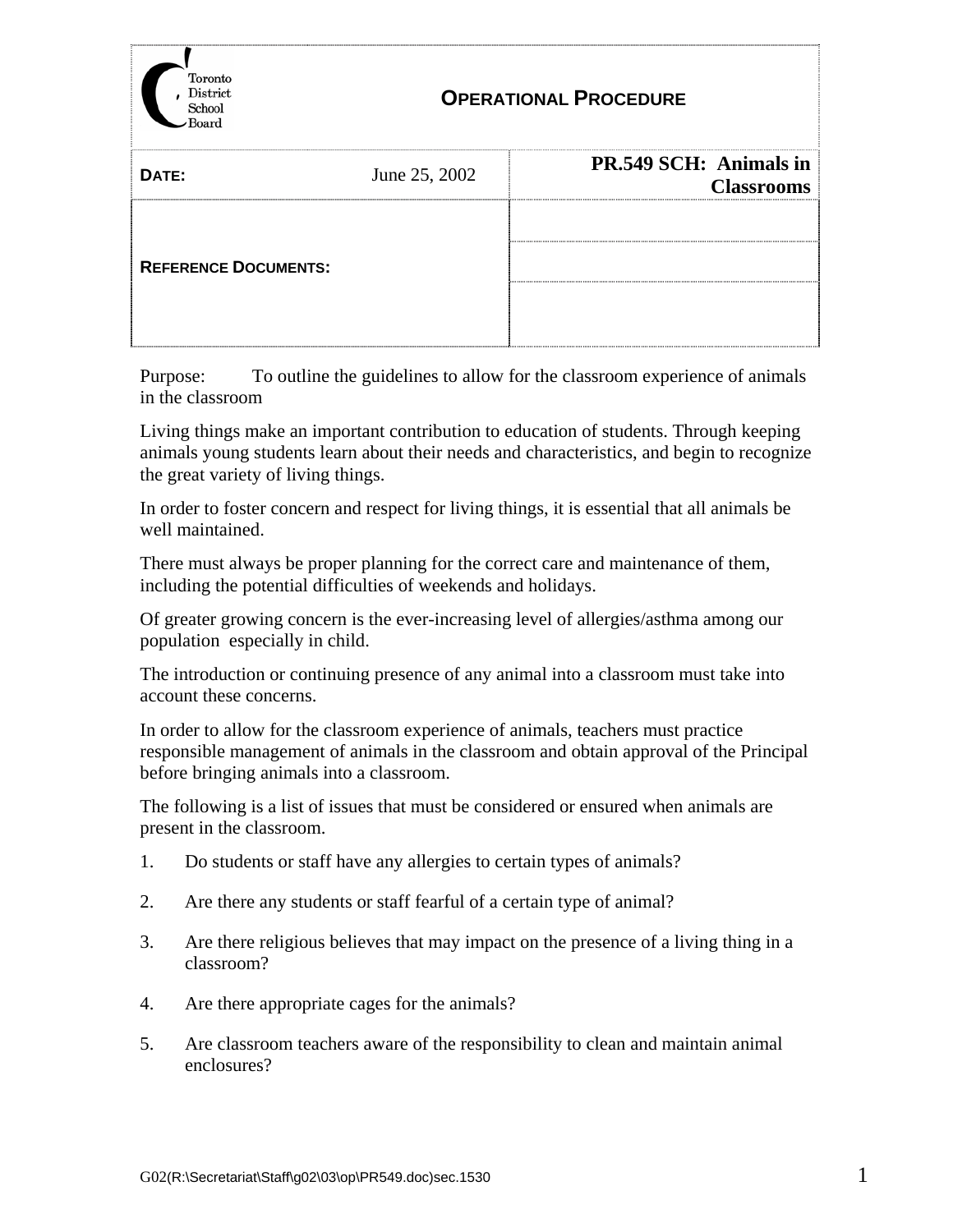

## **OPERATIONAL PROCEDURE**

| PR.549 SCH: Animals in      |                   |
|-----------------------------|-------------------|
| June 25, 2002<br>DATE:      | <b>Classrooms</b> |
| <b>REFERENCE DOCUMENTS:</b> |                   |

Purpose: To outline the guidelines to allow for the classroom experience of animals in the classroom

Living things make an important contribution to education of students. Through keeping animals young students learn about their needs and characteristics, and begin to recognize the great variety of living things.

In order to foster concern and respect for living things, it is essential that all animals be well maintained.

There must always be proper planning for the correct care and maintenance of them, including the potential difficulties of weekends and holidays.

Of greater growing concern is the ever-increasing level of allergies/asthma among our population especially in child.

The introduction or continuing presence of any animal into a classroom must take into account these concerns.

In order to allow for the classroom experience of animals, teachers must practice responsible management of animals in the classroom and obtain approval of the Principal before bringing animals into a classroom.

The following is a list of issues that must be considered or ensured when animals are present in the classroom.

- 1. Do students or staff have any allergies to certain types of animals?
- 2. Are there any students or staff fearful of a certain type of animal?
- 3. Are there religious believes that may impact on the presence of a living thing in a classroom?
- 4. Are there appropriate cages for the animals?
- 5. Are classroom teachers aware of the responsibility to clean and maintain animal enclosures?